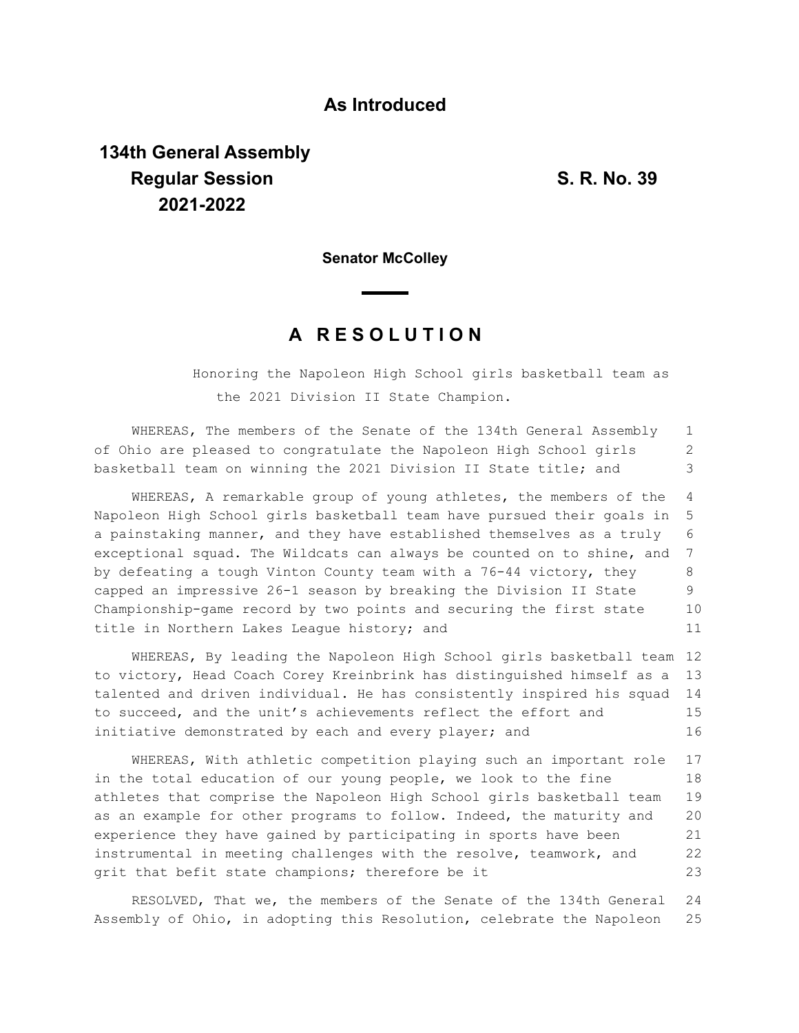## **As Introduced**

## **134th General Assembly Regular Session S. R. No. 39 2021-2022**

**Senator McColley**

## **A R E S O L U T I O N**

Honoring the Napoleon High School girls basketball team as the 2021 Division II State Champion.

WHEREAS, The members of the Senate of the 134th General Assembly of Ohio are pleased to congratulate the Napoleon High School girls basketball team on winning the 2021 Division II State title; and 1 2 3

WHEREAS, A remarkable group of young athletes, the members of the Napoleon High School girls basketball team have pursued their goals in a painstaking manner, and they have established themselves as a truly exceptional squad. The Wildcats can always be counted on to shine, and by defeating a tough Vinton County team with a 76-44 victory, they capped an impressive 26-1 season by breaking the Division II State Championship-game record by two points and securing the first state title in Northern Lakes League history; and 4 5 6 7 8 9 10 11

WHEREAS, By leading the Napoleon High School girls basketball team 12 to victory, Head Coach Corey Kreinbrink has distinguished himself as a talented and driven individual. He has consistently inspired his squad to succeed, and the unit's achievements reflect the effort and initiative demonstrated by each and every player; and 13 14 15 16

WHEREAS, With athletic competition playing such an important role in the total education of our young people, we look to the fine athletes that comprise the Napoleon High School girls basketball team as an example for other programs to follow. Indeed, the maturity and experience they have gained by participating in sports have been instrumental in meeting challenges with the resolve, teamwork, and grit that befit state champions; therefore be it 17 18 19 20 21 22 23

RESOLVED, That we, the members of the Senate of the 134th General Assembly of Ohio, in adopting this Resolution, celebrate the Napoleon 24 25